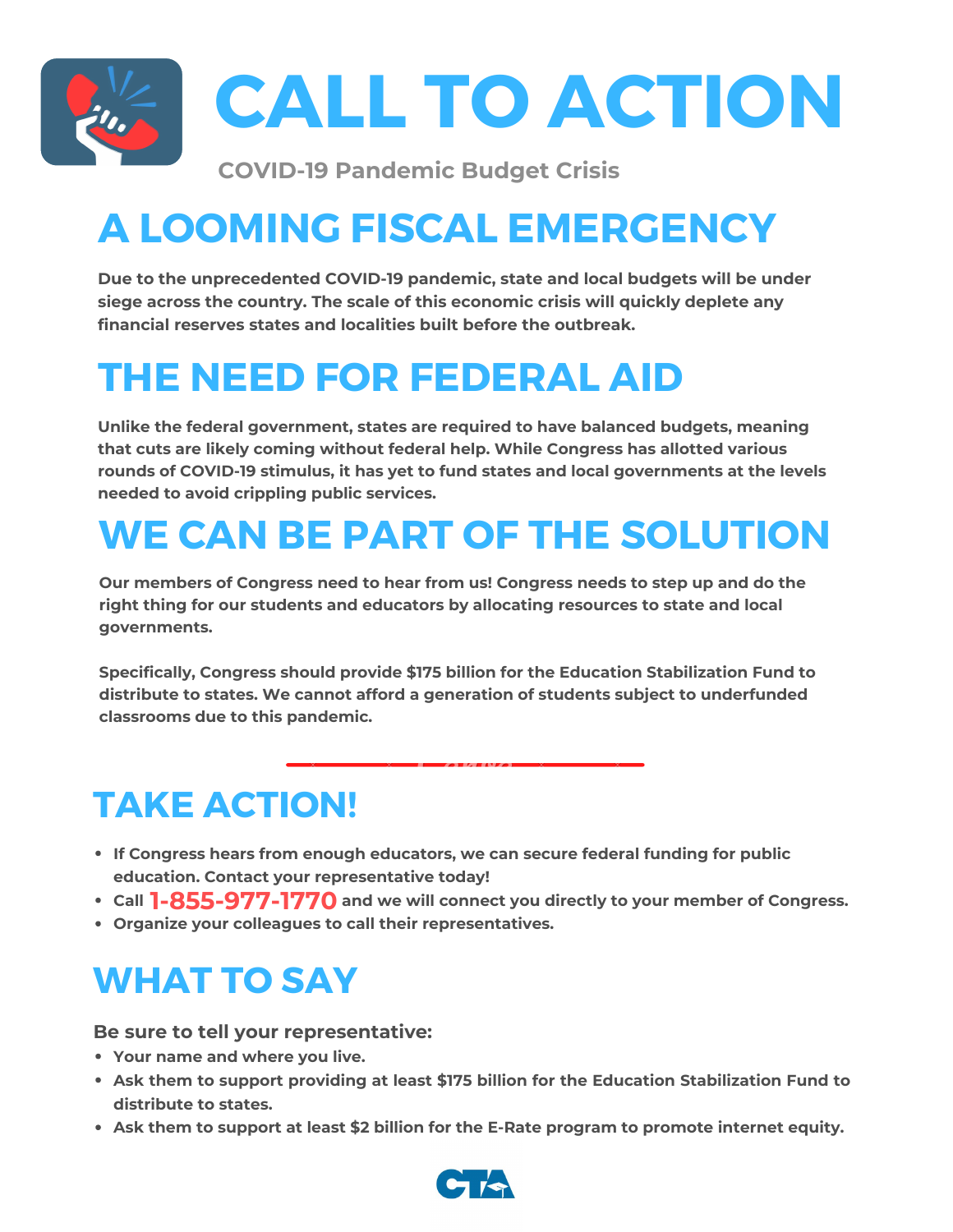

# **A LOOMING FISCAL EMERGENCY**

**Due to the unprecedented COVID-19 pandemic, state and local budgets will be under siege across the country. The scale of this economic crisis will quickly deplete any financial reserves states and localities built before the outbreak.**

## **THE NEED FOR FEDERAL AID**

**Unlike the federal government, states are required to have balanced budgets, meaning that cuts are likely coming without federal help. While Congress has allotted various rounds of COVID-19 stimulus, it has yet to fund states and local governments at the levels needed to avoid crippling public services.**

# **WE CAN BE PART OF THE SOLUTION**

**Our members of Congress need to hear from us! Congress needs to step up and do the right thing for our students and educators by allocating resources to state and local governments.**

**Specifically, Congress should provide \$175 billion for the Education Stabilization Fund to distribute to states. We cannot afford a generation of students subject to underfunded classrooms due to this pandemic.**

#### **TAKE ACTION!**

- **If Congress hears from enough educators, we can secure federal funding for public education. Contact your representative today!**
- **Call and we will connect you directly to your member of Congress. 1-855-977-1770**
- **Organize your colleagues to call their representatives.**

#### **WHAT TO SAY**

**Be sure to tell your representative:**

- **Your name and where you live.**
- **Ask them to support providing at least \$175 billion for the Education Stabilization Fund to distribute to states.**
- **Ask them to support at least \$2 billion for the E-Rate program to promote internet equity.**